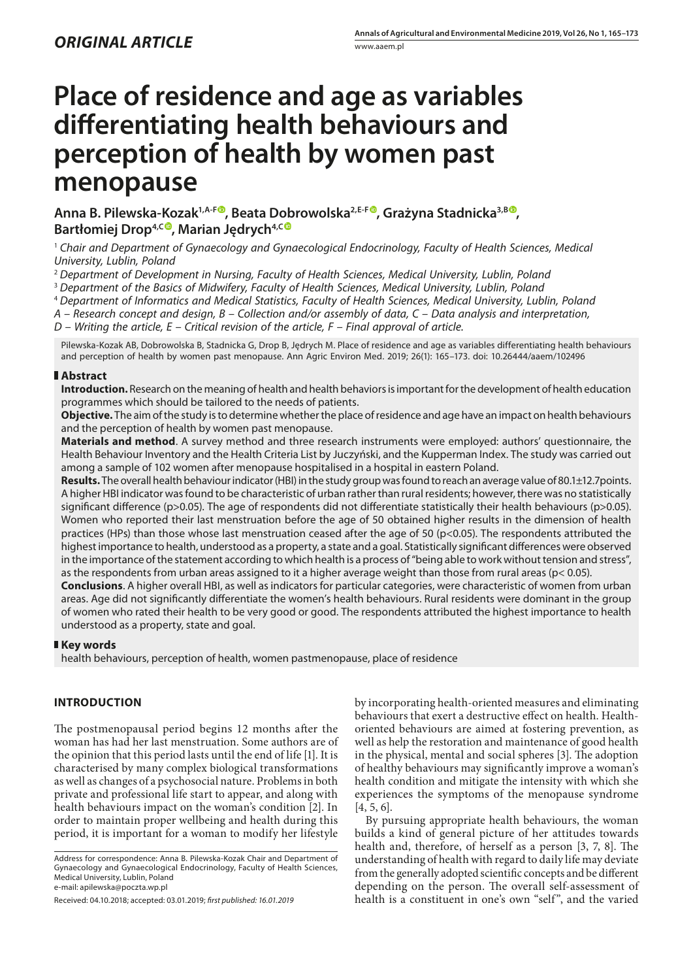# **Place of residence and age as variables differentiating health behaviours and perception of health by women past menopause**

**Anna B. Pilewska-Kozak1,A-F [,](https://orcid.org/0000-0003-4562-2295) Beata Dobrowolska2,E-F , Grażyna Stadnicka3,B , Bartłomiej Drop4,[C](https://orcid.org/0000-0001-7044-3657) , Marian Jędrych4,C**

<sup>1</sup> Chair and Department of Gynaecology and Gynaecological Endocrinology, Faculty of Health Sciences, Medical *University, Lublin, Poland*

<sup>2</sup> *Department of Development in Nursing, Faculty of Health Sciences, Medical University, Lublin, Poland*

<sup>3</sup> *Department of the Basics of Midwifery, Faculty of Health Sciences, Medical University, Lublin, Poland*

<sup>4</sup> *Department of Informatics and Medical Statistics, Faculty of Health Sciences, Medical University, Lublin, Poland*

*A – Research concept and design, B – Collection and/or assembly of data, C – Data analysis and interpretation,* 

*D – Writing the article, E – Critical revision of the article, F – Final approval of article.*

Pilewska-Kozak AB, Dobrowolska B, Stadnicka G, Drop B, Jędrych M. Place of residence and age as variables differentiating health behaviours and perception of health by women past menopause. Ann Agric Environ Med. 2019; 26(1): 165–173. doi: 10.26444/aaem/102496

## **Abstract**

**Introduction.** Research on the meaning of health and health behaviors is important for the development of health education programmes which should be tailored to the needs of patients.

**Objective.** The aim of the study is to determine whether the place of residence and age have an impact on health behaviours and the perception of health by women past menopause.

**Materials and method**. A survey method and three research instruments were employed: authors' questionnaire, the Health Behaviour Inventory and the Health Criteria List by Juczyński, and the Kupperman Index. The study was carried out among a sample of 102 women after menopause hospitalised in a hospital in eastern Poland.

**Results.** The overall health behaviour indicator (HBI) in the study group was found to reach an average value of 80.1±12.7points. A higher HBI indicator was found to be characteristic of urban rather than rural residents; however, there was no statistically significant difference (p>0.05). The age of respondents did not differentiate statistically their health behaviours (p>0.05). Women who reported their last menstruation before the age of 50 obtained higher results in the dimension of health practices (HPs) than those whose last menstruation ceased after the age of 50 (p<0.05). The respondents attributed the highest importance to health, understood as a property, a state and a goal. Statistically significant differences were observed in the importance of the statement according to which health is a process of "being able to work without tension and stress", as the respondents from urban areas assigned to it a higher average weight than those from rural areas (p< 0.05).

**Conclusions**. A higher overall HBI, as well as indicators for particular categories, were characteristic of women from urban areas. Age did not significantly differentiate the women's health behaviours. Rural residents were dominant in the group of women who rated their health to be very good or good. The respondents attributed the highest importance to health understood as a property, state and goal.

## **Key words**

health behaviours, perception of health, women pastmenopause, place of residence

# **INTRODUCTION**

The postmenopausal period begins 12 months after the woman has had her last menstruation. Some authors are of the opinion that this period lasts until the end of life [1]. It is characterised by many complex biological transformations as well as changes of a psychosocial nature. Problems in both private and professional life start to appear, and along with health behaviours impact on the woman's condition [2]. In order to maintain proper wellbeing and health during this period, it is important for a woman to modify her lifestyle

Address for correspondence: Anna B. Pilewska-Kozak Chair and Department of Gynaecology and Gynaecological Endocrinology, Faculty of Health Sciences, Medical University, Lublin, Poland e-mail: apilewska@poczta.wp.pl

Received: 04.10.2018; accepted: 03.01.2019; *first published: 16.01.2019*

by incorporating health-oriented measures and eliminating behaviours that exert a destructive effect on health. Healthoriented behaviours are aimed at fostering prevention, as well as help the restoration and maintenance of good health in the physical, mental and social spheres [3]. The adoption of healthy behaviours may significantly improve a woman's health condition and mitigate the intensity with which she experiences the symptoms of the menopause syndrome [4, 5, 6].

By pursuing appropriate health behaviours, the woman builds a kind of general picture of her attitudes towards health and, therefore, of herself as a person [3, 7, 8]. The understanding of health with regard to daily life may deviate from the generally adopted scientific concepts and be different depending on the person. The overall self-assessment of health is a constituent in one's own "self", and the varied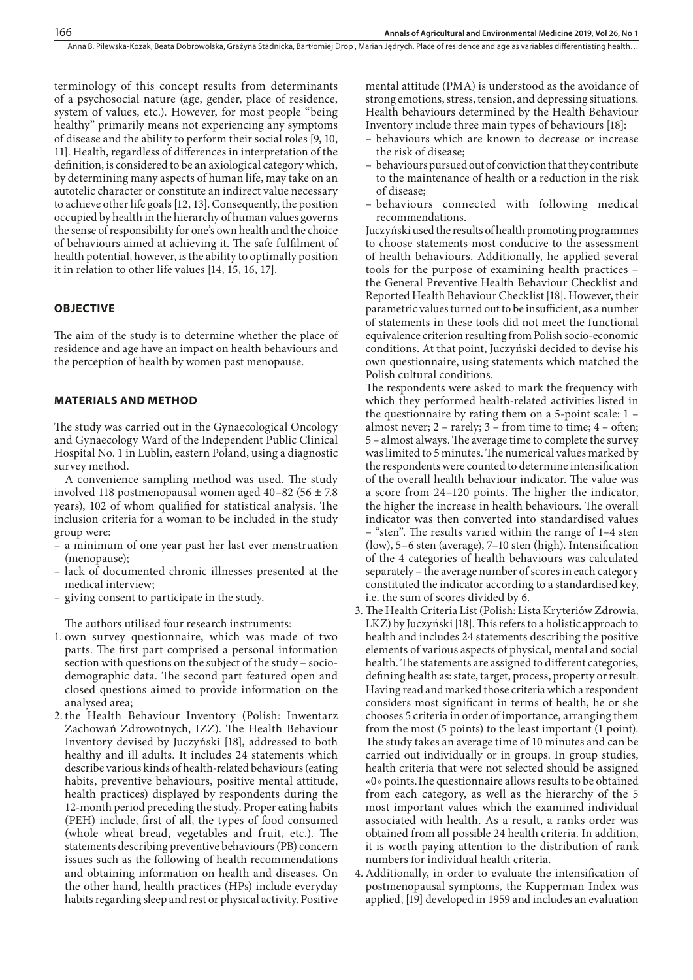terminology of this concept results from determinants of a psychosocial nature (age, gender, place of residence, system of values, etc.). However, for most people "being healthy" primarily means not experiencing any symptoms of disease and the ability to perform their social roles [9, 10, 11]. Health, regardless of differences in interpretation of the definition, is considered to be an axiological category which, by determining many aspects of human life, may take on an autotelic character or constitute an indirect value necessary to achieve other life goals [12, 13]. Consequently, the position occupied by health in the hierarchy of human values governs the sense of responsibility for one's own health and the choice of behaviours aimed at achieving it. The safe fulfilment of health potential, however, is the ability to optimally position it in relation to other life values [14, 15, 16, 17].

## **OBJECTIVE**

The aim of the study is to determine whether the place of residence and age have an impact on health behaviours and the perception of health by women past menopause.

#### **MATERIALS AND METHOD**

The study was carried out in the Gynaecological Oncology and Gynaecology Ward of the Independent Public Clinical Hospital No. 1 in Lublin, eastern Poland, using a diagnostic survey method.

A convenience sampling method was used. The study involved 118 postmenopausal women aged  $40-82$  (56  $\pm$  7.8) years), 102 of whom qualified for statistical analysis. The inclusion criteria for a woman to be included in the study group were:

- a minimum of one year past her last ever menstruation (menopause);
- lack of documented chronic illnesses presented at the medical interview;
- giving consent to participate in the study.

The authors utilised four research instruments:

- 1. own survey questionnaire, which was made of two parts. The first part comprised a personal information section with questions on the subject of the study – sociodemographic data. The second part featured open and closed questions aimed to provide information on the analysed area;
- 2. the Health Behaviour Inventory (Polish: Inwentarz Zachowań Zdrowotnych, IZZ). The Health Behaviour Inventory devised by Juczyński [18], addressed to both healthy and ill adults. It includes 24 statements which describe various kinds of health-related behaviours (eating habits, preventive behaviours, positive mental attitude, health practices) displayed by respondents during the 12-month period preceding the study. Proper eating habits (PEH) include, first of all, the types of food consumed (whole wheat bread, vegetables and fruit, etc.). The statements describing preventive behaviours (PB) concern issues such as the following of health recommendations and obtaining information on health and diseases. On the other hand, health practices (HPs) include everyday habits regarding sleep and rest or physical activity. Positive

mental attitude (PMA) is understood as the avoidance of strong emotions, stress, tension, and depressing situations. Health behaviours determined by the Health Behaviour Inventory include three main types of behaviours [18]:

- behaviours which are known to decrease or increase the risk of disease;
- behaviours pursued out of conviction that they contribute to the maintenance of health or a reduction in the risk of disease;
- behaviours connected with following medical recommendations.

Juczyński used the results of health promoting programmes to choose statements most conducive to the assessment of health behaviours. Additionally, he applied several tools for the purpose of examining health practices – the General Preventive Health Behaviour Checklist and Reported Health Behaviour Checklist [18]. However, their parametric values turned out to be insufficient, as a number of statements in these tools did not meet the functional equivalence criterion resulting from Polish socio-economic conditions. At that point, Juczyński decided to devise his own questionnaire, using statements which matched the Polish cultural conditions.

The respondents were asked to mark the frequency with which they performed health-related activities listed in the questionnaire by rating them on a 5-point scale: 1 – almost never; 2 – rarely; 3 – from time to time; 4 – often; 5 – almost always. The average time to complete the survey was limited to 5 minutes. The numerical values marked by the respondents were counted to determine intensification of the overall health behaviour indicator. The value was a score from 24–120 points. The higher the indicator, the higher the increase in health behaviours. The overall indicator was then converted into standardised values – "sten". The results varied within the range of 1–4 sten (low), 5–6 sten (average), 7–10 sten (high). Intensification of the 4 categories of health behaviours was calculated separately – the average number of scores in each category constituted the indicator according to a standardised key, i.e. the sum of scores divided by 6.

3. The Health Criteria List (Polish: Lista Kryteriów Zdrowia, LKZ) by Juczyński [18]. This refers to a holistic approach to health and includes 24 statements describing the positive elements of various aspects of physical, mental and social health. The statements are assigned to different categories, defining health as: state, target, process, property or result. Having read and marked those criteria which a respondent considers most significant in terms of health, he or she chooses 5 criteria in order of importance, arranging them from the most (5 points) to the least important (1 point). The study takes an average time of 10 minutes and can be carried out individually or in groups. In group studies, health criteria that were not selected should be assigned «0» points.The questionnaire allows results to be obtained from each category, as well as the hierarchy of the 5 most important values which the examined individual associated with health. As a result, a ranks order was obtained from all possible 24 health criteria. In addition, it is worth paying attention to the distribution of rank numbers for individual health criteria.

4. Additionally, in order to evaluate the intensification of postmenopausal symptoms, the Kupperman Index was applied, [19] developed in 1959 and includes an evaluation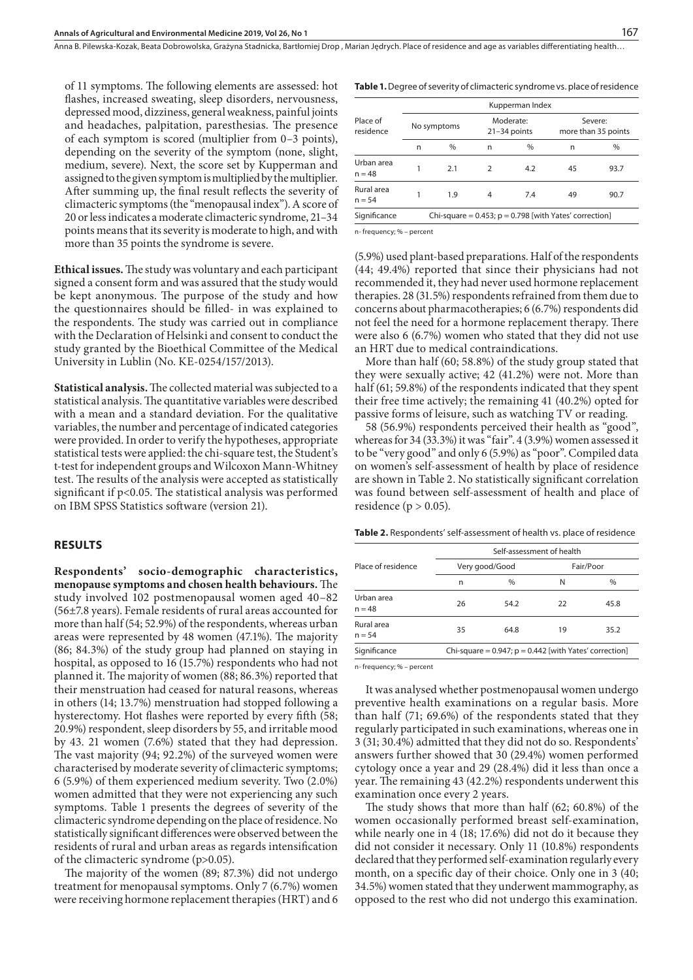of 11 symptoms. The following elements are assessed: hot flashes, increased sweating, sleep disorders, nervousness, depressed mood, dizziness, general weakness, painful joints and headaches, palpitation, paresthesias. The presence of each symptom is scored (multiplier from 0–3 points), depending on the severity of the symptom (none, slight, medium, severe). Next, the score set by Kupperman and assigned to the given symptom is multiplied by the multiplier. After summing up, the final result reflects the severity of climacteric symptoms (the "menopausal index"). A score of 20 or less indicates a moderate climacteric syndrome, 21–34 points means that its severity is moderate to high, and with more than 35 points the syndrome is severe.

**Ethical issues.** The study was voluntary and each participant signed a consent form and was assured that the study would be kept anonymous. The purpose of the study and how the questionnaires should be filled- in was explained to the respondents. The study was carried out in compliance with the Declaration of Helsinki and consent to conduct the study granted by the Bioethical Committee of the Medical University in Lublin (No. KE-0254/157/2013).

**Statistical analysis.** The collected material was subjected to a statistical analysis. The quantitative variables were described with a mean and a standard deviation. For the qualitative variables, the number and percentage of indicated categories were provided. In order to verify the hypotheses, appropriate statistical tests were applied: the chi-square test, the Student's t-test for independent groups and Wilcoxon Mann-Whitney test. The results of the analysis were accepted as statistically significant if p<0.05. The statistical analysis was performed on IBM SPSS Statistics software (version 21).

#### **RESULTS**

**Respondents' socio-demographic characteristics, menopause symptoms and chosen health behaviours.** The study involved 102 postmenopausal women aged 40–82 (56±7.8 years). Female residents of rural areas accounted for more than half (54; 52.9%) of the respondents, whereas urban areas were represented by 48 women (47.1%). The majority (86; 84.3%) of the study group had planned on staying in hospital, as opposed to 16 (15.7%) respondents who had not planned it. The majority of women (88; 86.3%) reported that their menstruation had ceased for natural reasons, whereas in others (14; 13.7%) menstruation had stopped following a hysterectomy. Hot flashes were reported by every fifth (58; 20.9%) respondent, sleep disorders by 55, and irritable mood by 43. 21 women (7.6%) stated that they had depression. The vast majority (94; 92.2%) of the surveyed women were characterised by moderate severity of climacteric symptoms; 6 (5.9%) of them experienced medium severity. Two (2.0%) women admitted that they were not experiencing any such symptoms. Table 1 presents the degrees of severity of the climacteric syndrome depending on the place of residence. No statistically significant differences were observed between the residents of rural and urban areas as regards intensification of the climacteric syndrome (p>0.05).

The majority of the women (89; 87.3%) did not undergo treatment for menopausal symptoms. Only 7 (6.7%) women were receiving hormone replacement therapies (HRT) and 6

|  |  |  | <b>Table 1.</b> Degree of severity of climacteric syndrome vs. place of residence |  |  |  |
|--|--|--|-----------------------------------------------------------------------------------|--|--|--|
|--|--|--|-----------------------------------------------------------------------------------|--|--|--|

|                        | Kupperman Index                                             |             |               |                             |                                |      |  |  |  |
|------------------------|-------------------------------------------------------------|-------------|---------------|-----------------------------|--------------------------------|------|--|--|--|
| Place of<br>residence  |                                                             | No symptoms |               | Moderate:<br>$21-34$ points | Severe:<br>more than 35 points |      |  |  |  |
|                        | n                                                           | $\%$        | n             | $\%$                        | n                              | $\%$ |  |  |  |
| Urban area<br>$n = 48$ |                                                             | 2.1         | $\mathcal{P}$ | 4.2                         | 45                             | 93.7 |  |  |  |
| Rural area<br>$n = 54$ |                                                             | 19          | 4             | 74                          | 49                             | 90.7 |  |  |  |
| Significance           | Chi-square = $0.453$ ; $p = 0.798$ [with Yates' correction] |             |               |                             |                                |      |  |  |  |

n- frequency; % – percent

(5.9%) used plant-based preparations. Half of the respondents (44; 49.4%) reported that since their physicians had not recommended it, they had never used hormone replacement therapies. 28 (31.5%) respondents refrained from them due to concerns about pharmacotherapies; 6 (6.7%) respondents did not feel the need for a hormone replacement therapy. There were also 6 (6.7%) women who stated that they did not use an HRT due to medical contraindications.

More than half (60; 58.8%) of the study group stated that they were sexually active; 42 (41.2%) were not. More than half (61; 59.8%) of the respondents indicated that they spent their free time actively; the remaining 41 (40.2%) opted for passive forms of leisure, such as watching TV or reading.

58 (56.9%) respondents perceived their health as "good", whereas for 34 (33.3%) it was "fair". 4 (3.9%) women assessed it to be "very good" and only 6 (5.9%) as "poor". Compiled data on women's self-assessment of health by place of residence are shown in Table 2. No statistically significant correlation was found between self-assessment of health and place of residence ( $p > 0.05$ ).

**Table 2.** Respondents' self-assessment of health vs. place of residence

|                        | Self-assessment of health |                                                             |           |      |  |  |  |
|------------------------|---------------------------|-------------------------------------------------------------|-----------|------|--|--|--|
| Place of residence     |                           | Very good/Good                                              | Fair/Poor |      |  |  |  |
|                        | n                         | $\frac{0}{0}$                                               | N         | $\%$ |  |  |  |
| Urban area<br>$n = 48$ | 26                        | 54.2                                                        | 22        | 45.8 |  |  |  |
| Rural area<br>$n = 54$ | 35                        | 64.8                                                        | 19        | 35.2 |  |  |  |
| Significance           |                           | Chi-square = $0.947$ ; $p = 0.442$ [with Yates' correction] |           |      |  |  |  |

n- frequency; % – percent

It was analysed whether postmenopausal women undergo preventive health examinations on a regular basis. More than half (71; 69.6%) of the respondents stated that they regularly participated in such examinations, whereas one in 3 (31; 30.4%) admitted that they did not do so. Respondents' answers further showed that 30 (29.4%) women performed cytology once a year and 29 (28.4%) did it less than once a year. The remaining 43 (42.2%) respondents underwent this examination once every 2 years.

The study shows that more than half (62; 60.8%) of the women occasionally performed breast self-examination, while nearly one in 4 (18; 17.6%) did not do it because they did not consider it necessary. Only 11 (10.8%) respondents declared that they performed self-examination regularly every month, on a specific day of their choice. Only one in 3 (40; 34.5%) women stated that they underwent mammography, as opposed to the rest who did not undergo this examination.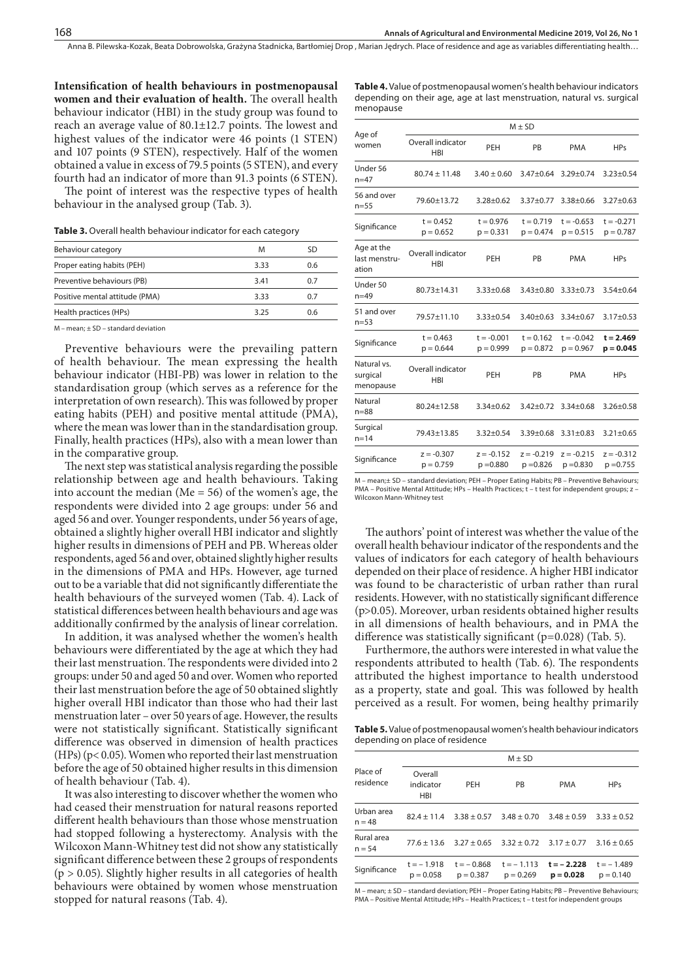**Intensification of health behaviours in postmenopausal women and their evaluation of health.** The overall health behaviour indicator (HBI) in the study group was found to reach an average value of 80.1±12.7 points. The lowest and highest values of the indicator were 46 points (1 STEN) and 107 points (9 STEN), respectively. Half of the women obtained a value in excess of 79.5 points (5 STEN), and every fourth had an indicator of more than 91.3 points (6 STEN).

The point of interest was the respective types of health behaviour in the analysed group (Tab. 3).

**Table 3.** Overall health behaviour indicator for each category

| Behaviour category             | M    | SD  |
|--------------------------------|------|-----|
| Proper eating habits (PEH)     | 3.33 | 0.6 |
| Preventive behaviours (PB)     | 3.41 | 0.7 |
| Positive mental attitude (PMA) | 3.33 | 0.7 |
| Health practices (HPs)         | 3.25 | 06  |
|                                |      |     |

M – mean; ± SD – standard deviation

Preventive behaviours were the prevailing pattern of health behaviour. The mean expressing the health behaviour indicator (HBI-PB) was lower in relation to the standardisation group (which serves as a reference for the interpretation of own research). This was followed by proper eating habits (PEH) and positive mental attitude (PMA), where the mean was lower than in the standardisation group. Finally, health practices (HPs), also with a mean lower than in the comparative group.

The next step was statistical analysis regarding the possible relationship between age and health behaviours. Taking into account the median (Me = 56) of the women's age, the respondents were divided into 2 age groups: under 56 and aged 56 and over. Younger respondents, under 56 years of age, obtained a slightly higher overall HBI indicator and slightly higher results in dimensions of PEH and PB. Whereas older respondents, aged 56 and over, obtained slightly higher results in the dimensions of PMA and HPs. However, age turned out to be a variable that did not significantly differentiate the health behaviours of the surveyed women (Tab. 4). Lack of statistical differences between health behaviours and age was additionally confirmed by the analysis of linear correlation.

In addition, it was analysed whether the women's health behaviours were differentiated by the age at which they had their last menstruation. The respondents were divided into 2 groups: under 50 and aged 50 and over. Women who reported their last menstruation before the age of 50 obtained slightly higher overall HBI indicator than those who had their last menstruation later – over 50 years of age. However, the results were not statistically significant. Statistically significant difference was observed in dimension of health practices (HPs) (p< 0.05). Women who reported their last menstruation before the age of 50 obtained higher results in this dimension of health behaviour (Tab. 4).

It was also interesting to discover whether the women who had ceased their menstruation for natural reasons reported different health behaviours than those whose menstruation had stopped following a hysterectomy. Analysis with the Wilcoxon Mann-Whitney test did not show any statistically significant difference between these 2 groups of respondents  $(p > 0.05)$ . Slightly higher results in all categories of health behaviours were obtained by women whose menstruation stopped for natural reasons (Tab. 4).

| Table 4. Value of postmenopausal women's health behaviour indicators   |
|------------------------------------------------------------------------|
| depending on their age, age at last menstruation, natural vs. surgical |
| menopause                                                              |

|                                      | $M \pm SD$                      |                             |                             |                             |                             |  |  |  |  |
|--------------------------------------|---------------------------------|-----------------------------|-----------------------------|-----------------------------|-----------------------------|--|--|--|--|
| Age of<br>women                      | Overall indicator<br><b>HBI</b> | PEH<br>PB                   |                             | <b>PMA</b>                  | <b>HPs</b>                  |  |  |  |  |
| Under 56<br>$n = 47$                 | $80.74 \pm 11.48$               | $3.40 \pm 0.60$             | $3.47 \pm 0.64$             | $3.29 \pm 0.74$             | $3.23 \pm 0.54$             |  |  |  |  |
| 56 and over<br>$n = 55$              | 79.60±13.72                     | $3.28 \pm 0.62$             | $3.37 \pm 0.77$             | $3.38 \pm 0.66$             | $3.27 \pm 0.63$             |  |  |  |  |
| Significance                         | $t = 0.452$<br>$p = 0.652$      | $t = 0.976$<br>$p = 0.331$  | $t = 0.719$<br>$p = 0.474$  | $t = -0.653$<br>$p = 0.515$ | $t = -0.271$<br>$p = 0.787$ |  |  |  |  |
| Age at the<br>last menstru-<br>ation | Overall indicator<br><b>HBI</b> | PEH                         | PB                          | <b>PMA</b>                  | <b>HPs</b>                  |  |  |  |  |
| Under 50<br>$n = 49$                 | 80.73±14.31                     | $3.33 \pm 0.68$             | $3.43 + 0.80$               | $3.33 \pm 0.73$             | $3.54 \pm 0.64$             |  |  |  |  |
| 51 and over<br>$n = 53$              | 79.57±11.10                     | $3.33 \pm 0.54$             | $3.40 + 0.63$               | $3.34 \pm 0.67$             | $3.17 \pm 0.53$             |  |  |  |  |
| Significance                         | $t = 0.463$<br>$p = 0.644$      | $t = -0.001$<br>$p = 0.999$ | $t = 0.162$<br>$p = 0.872$  | $t = -0.042$<br>$p = 0.967$ | $t = 2.469$<br>$p = 0.045$  |  |  |  |  |
| Natural vs.<br>surgical<br>menopause | Overall indicator<br>HBI        | PEH                         | PB                          | <b>PMA</b>                  | <b>HPs</b>                  |  |  |  |  |
| Natural<br>$n = 88$                  | 80.24±12.58                     | $3.34 \pm 0.62$             | $3.42 \pm 0.72$             | $3.34 \pm 0.68$             | $3.26 \pm 0.58$             |  |  |  |  |
| Surgical<br>$n = 14$                 | 79.43±13.85                     | $3.32 \pm 0.54$             | $3.39 \pm 0.68$             | $3.31 \pm 0.83$             | $3.21 \pm 0.65$             |  |  |  |  |
| Significance                         | $z = -0.307$<br>$p = 0.759$     | $z = -0.152$<br>$p = 0.880$ | $z = -0.219$<br>$p = 0.826$ | $z = -0.215$<br>$p = 0.830$ | $z = -0.312$<br>$p = 0.755$ |  |  |  |  |
|                                      |                                 |                             |                             |                             |                             |  |  |  |  |

M – mean;± SD – standard deviation; PEH – Proper Eating Habits; PB – Preventive Behaviours; PMA – Positive Mental Attitude; HPs – Health Practices; t – t test for independent groups; z -Wilcoxon Mann-Whitney test

The authors' point of interest was whether the value of the overall health behaviour indicator of the respondents and the values of indicators for each category of health behaviours depended on their place of residence. A higher HBI indicator was found to be characteristic of urban rather than rural residents. However, with no statistically significant difference (p>0.05). Moreover, urban residents obtained higher results in all dimensions of health behaviours, and in PMA the difference was statistically significant (p=0.028) (Tab. 5).

Furthermore, the authors were interested in what value the respondents attributed to health (Tab. 6). The respondents attributed the highest importance to health understood as a property, state and goal. This was followed by health perceived as a result. For women, being healthy primarily

**Table 5.** Value of postmenopausal women's health behaviour indicators depending on place of residence

|                        | $M \pm SD$                         |                             |                             |                             |                             |  |  |  |  |
|------------------------|------------------------------------|-----------------------------|-----------------------------|-----------------------------|-----------------------------|--|--|--|--|
| Place of<br>residence  | Overall<br>indicator<br><b>HBI</b> | PEH                         | <b>PB</b>                   | <b>PMA</b>                  | <b>HPs</b>                  |  |  |  |  |
| Urban area<br>$n = 48$ | $82.4 \pm 11.4$                    | $3.38 + 0.57$               | $3.48 + 0.70$               | $3.48 + 0.59$               | $3.33 + 0.52$               |  |  |  |  |
| Rural area<br>$n = 54$ | $77.6 \pm 13.6$                    | $3.27 \pm 0.65$             | $3.32 + 0.72$               | $3.17 \pm 0.77$             | $3.16 \pm 0.65$             |  |  |  |  |
| Significance           | $t = -1.918$<br>$p = 0.058$        | $t = -0.868$<br>$p = 0.387$ | $t = -1.113$<br>$p = 0.269$ | $t = -2.228$<br>$p = 0.028$ | $t = -1.489$<br>$p = 0.140$ |  |  |  |  |

M – mean; ± SD – standard deviation; PEH – Proper Eating Habits; PB – Preventive Behaviours; PMA – Positive Mental Attitude; HPs – Health Practices; t – t test for independent groups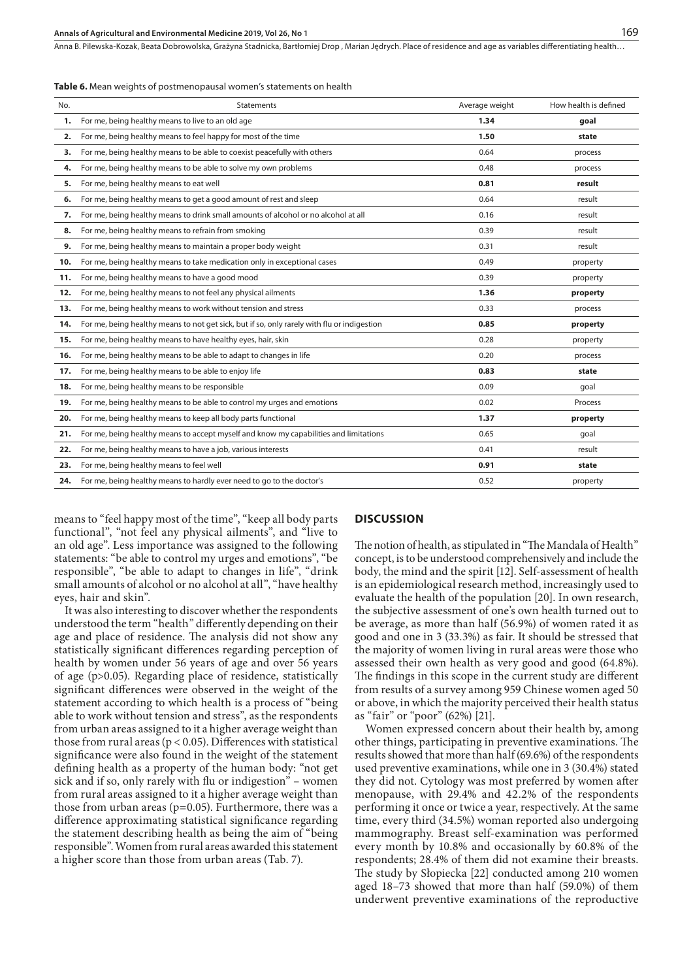|  |  |  |  |  |  | <b>Table 6.</b> Mean weights of postmenopausal women's statements on health |  |  |  |  |  |  |
|--|--|--|--|--|--|-----------------------------------------------------------------------------|--|--|--|--|--|--|
|--|--|--|--|--|--|-----------------------------------------------------------------------------|--|--|--|--|--|--|

| No. | Statements                                                                                  | Average weight | How health is defined |
|-----|---------------------------------------------------------------------------------------------|----------------|-----------------------|
| 1.  | For me, being healthy means to live to an old age                                           | 1.34           | goal                  |
| 2.  | For me, being healthy means to feel happy for most of the time                              | 1.50           | state                 |
| 3.  | For me, being healthy means to be able to coexist peacefully with others                    | 0.64           | process               |
| 4.  | For me, being healthy means to be able to solve my own problems                             | 0.48           | process               |
| 5.  | For me, being healthy means to eat well                                                     | 0.81           | result                |
| 6.  | For me, being healthy means to get a good amount of rest and sleep                          | 0.64           | result                |
| 7.  | For me, being healthy means to drink small amounts of alcohol or no alcohol at all          | 0.16           | result                |
| 8.  | For me, being healthy means to refrain from smoking                                         | 0.39           | result                |
| 9.  | For me, being healthy means to maintain a proper body weight                                | 0.31           | result                |
| 10. | For me, being healthy means to take medication only in exceptional cases                    | 0.49           | property              |
| 11. | For me, being healthy means to have a good mood                                             | 0.39           | property              |
| 12. | For me, being healthy means to not feel any physical ailments                               | 1.36           | property              |
| 13. | For me, being healthy means to work without tension and stress                              | 0.33           | process               |
| 14. | For me, being healthy means to not get sick, but if so, only rarely with flu or indigestion | 0.85           | property              |
| 15. | For me, being healthy means to have healthy eyes, hair, skin                                | 0.28           | property              |
| 16. | For me, being healthy means to be able to adapt to changes in life                          | 0.20           | process               |
| 17. | For me, being healthy means to be able to enjoy life                                        | 0.83           | state                 |
| 18. | For me, being healthy means to be responsible                                               | 0.09           | qoal                  |
| 19. | For me, being healthy means to be able to control my urges and emotions                     | 0.02           | Process               |
| 20. | For me, being healthy means to keep all body parts functional                               | 1.37           | property              |
| 21. | For me, being healthy means to accept myself and know my capabilities and limitations       | 0.65           | goal                  |
| 22. | For me, being healthy means to have a job, various interests                                | 0.41           | result                |
| 23. | For me, being healthy means to feel well                                                    | 0.91           | state                 |
| 24. | For me, being healthy means to hardly ever need to go to the doctor's                       | 0.52           | property              |

means to "feel happy most of the time", "keep all body parts functional", "not feel any physical ailments", and "live to an old age". Less importance was assigned to the following statements: "be able to control my urges and emotions", "be responsible", "be able to adapt to changes in life", "drink small amounts of alcohol or no alcohol at all", "have healthy eyes, hair and skin".

It was also interesting to discover whether the respondents understood the term "health" differently depending on their age and place of residence. The analysis did not show any statistically significant differences regarding perception of health by women under 56 years of age and over 56 years of age (p>0.05). Regarding place of residence, statistically significant differences were observed in the weight of the statement according to which health is a process of "being able to work without tension and stress", as the respondents from urban areas assigned to it a higher average weight than those from rural areas ( $p < 0.05$ ). Differences with statistical significance were also found in the weight of the statement defining health as a property of the human body: "not get sick and if so, only rarely with flu or indigestion" – women from rural areas assigned to it a higher average weight than those from urban areas ( $p=0.05$ ). Furthermore, there was a difference approximating statistical significance regarding the statement describing health as being the aim of "being responsible". Women from rural areas awarded this statement a higher score than those from urban areas (Tab. 7).

#### **DISCUSSION**

The notion of health, as stipulated in "The Mandala of Health" concept, is to be understood comprehensively and include the body, the mind and the spirit [12]. Self-assessment of health is an epidemiological research method, increasingly used to evaluate the health of the population [20]. In own research, the subjective assessment of one's own health turned out to be average, as more than half (56.9%) of women rated it as good and one in 3 (33.3%) as fair. It should be stressed that the majority of women living in rural areas were those who assessed their own health as very good and good (64.8%). The findings in this scope in the current study are different from results of a survey among 959 Chinese women aged 50 or above, in which the majority perceived their health status as "fair" or "poor" (62%) [21].

Women expressed concern about their health by, among other things, participating in preventive examinations. The results showed that more than half (69.6%) of the respondents used preventive examinations, while one in 3 (30.4%) stated they did not. Cytology was most preferred by women after menopause, with 29.4% and 42.2% of the respondents performing it once or twice a year, respectively. At the same time, every third (34.5%) woman reported also undergoing mammography. Breast self-examination was performed every month by 10.8% and occasionally by 60.8% of the respondents; 28.4% of them did not examine their breasts. The study by Słopiecka [22] conducted among 210 women aged 18–73 showed that more than half (59.0%) of them underwent preventive examinations of the reproductive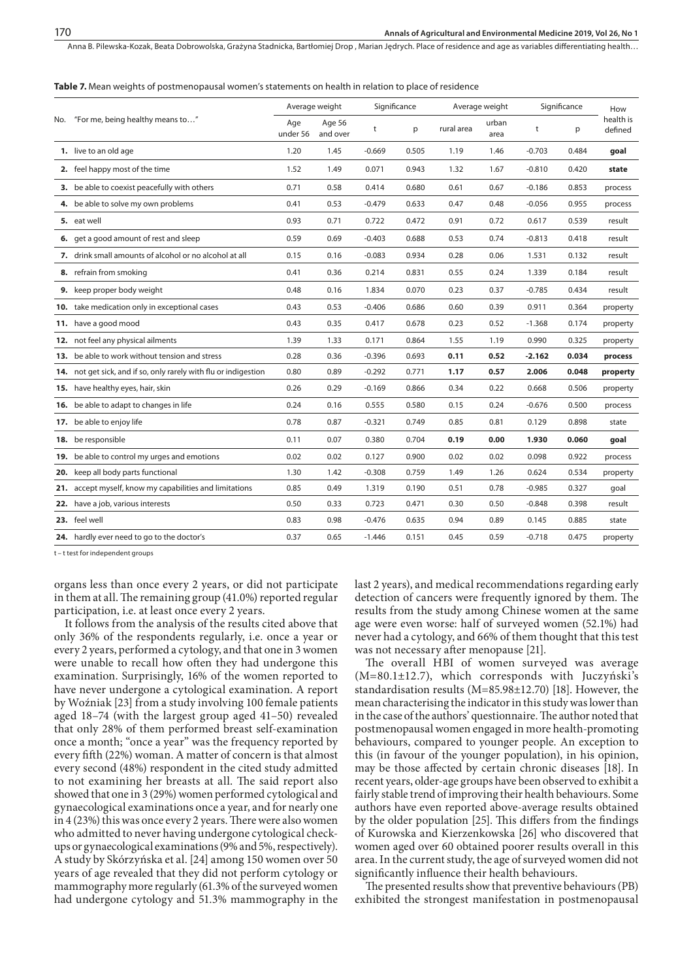#### **Table 7.** Mean weights of postmenopausal women's statements on health in relation to place of residence

|     |                                                                  | Average weight  |                    | Significance |       | Average weight |               | Significance |       | How                  |
|-----|------------------------------------------------------------------|-----------------|--------------------|--------------|-------|----------------|---------------|--------------|-------|----------------------|
|     | No. "For me, being healthy means to"                             | Age<br>under 56 | Age 56<br>and over | t            | p     | rural area     | urban<br>area | t            | p     | health is<br>defined |
|     | 1. live to an old age                                            | 1.20            | 1.45               | $-0.669$     | 0.505 | 1.19           | 1.46          | $-0.703$     | 0.484 | goal                 |
|     | 2. feel happy most of the time                                   | 1.52            | 1.49               | 0.071        | 0.943 | 1.32           | 1.67          | $-0.810$     | 0.420 | state                |
|     | 3. be able to coexist peacefully with others                     | 0.71            | 0.58               | 0.414        | 0.680 | 0.61           | 0.67          | $-0.186$     | 0.853 | process              |
|     | 4. be able to solve my own problems                              | 0.41            | 0.53               | $-0.479$     | 0.633 | 0.47           | 0.48          | $-0.056$     | 0.955 | process              |
|     | 5. eat well                                                      | 0.93            | 0.71               | 0.722        | 0.472 | 0.91           | 0.72          | 0.617        | 0.539 | result               |
|     | 6. get a good amount of rest and sleep                           | 0.59            | 0.69               | $-0.403$     | 0.688 | 0.53           | 0.74          | $-0.813$     | 0.418 | result               |
|     | 7. drink small amounts of alcohol or no alcohol at all           | 0.15            | 0.16               | $-0.083$     | 0.934 | 0.28           | 0.06          | 1.531        | 0.132 | result               |
|     | 8. refrain from smoking                                          | 0.41            | 0.36               | 0.214        | 0.831 | 0.55           | 0.24          | 1.339        | 0.184 | result               |
|     | 9. keep proper body weight                                       | 0.48            | 0.16               | 1.834        | 0.070 | 0.23           | 0.37          | $-0.785$     | 0.434 | result               |
|     | 10. take medication only in exceptional cases                    | 0.43            | 0.53               | $-0.406$     | 0.686 | 0.60           | 0.39          | 0.911        | 0.364 | property             |
|     | 11. have a good mood                                             | 0.43            | 0.35               | 0.417        | 0.678 | 0.23           | 0.52          | $-1.368$     | 0.174 | property             |
|     | 12. not feel any physical ailments                               | 1.39            | 1.33               | 0.171        | 0.864 | 1.55           | 1.19          | 0.990        | 0.325 | property             |
|     | 13. be able to work without tension and stress                   | 0.28            | 0.36               | $-0.396$     | 0.693 | 0.11           | 0.52          | -2.162       | 0.034 | process              |
|     | 14. not get sick, and if so, only rarely with flu or indigestion | 0.80            | 0.89               | $-0.292$     | 0.771 | 1.17           | 0.57          | 2.006        | 0.048 | property             |
|     | 15. have healthy eyes, hair, skin                                | 0.26            | 0.29               | $-0.169$     | 0.866 | 0.34           | 0.22          | 0.668        | 0.506 | property             |
|     | 16. be able to adapt to changes in life                          | 0.24            | 0.16               | 0.555        | 0.580 | 0.15           | 0.24          | $-0.676$     | 0.500 | process              |
|     | 17. be able to enjoy life                                        | 0.78            | 0.87               | $-0.321$     | 0.749 | 0.85           | 0.81          | 0.129        | 0.898 | state                |
|     | 18. be responsible                                               | 0.11            | 0.07               | 0.380        | 0.704 | 0.19           | 0.00          | 1.930        | 0.060 | qoal                 |
|     | 19. be able to control my urges and emotions                     | 0.02            | 0.02               | 0.127        | 0.900 | 0.02           | 0.02          | 0.098        | 0.922 | process              |
| 20. | keep all body parts functional                                   | 1.30            | 1.42               | $-0.308$     | 0.759 | 1.49           | 1.26          | 0.624        | 0.534 | property             |
|     | 21. accept myself, know my capabilities and limitations          | 0.85            | 0.49               | 1.319        | 0.190 | 0.51           | 0.78          | $-0.985$     | 0.327 | goal                 |
|     | 22. have a job, various interests                                | 0.50            | 0.33               | 0.723        | 0.471 | 0.30           | 0.50          | $-0.848$     | 0.398 | result               |
|     | 23. feel well                                                    | 0.83            | 0.98               | $-0.476$     | 0.635 | 0.94           | 0.89          | 0.145        | 0.885 | state                |
|     | 24. hardly ever need to go to the doctor's                       | 0.37            | 0.65               | $-1.446$     | 0.151 | 0.45           | 0.59          | $-0.718$     | 0.475 | property             |

t – t test for independent groups

organs less than once every 2 years, or did not participate in them at all. The remaining group (41.0%) reported regular participation, i.e. at least once every 2 years.

It follows from the analysis of the results cited above that only 36% of the respondents regularly, i.e. once a year or every 2 years, performed a cytology, and that one in 3 women were unable to recall how often they had undergone this examination. Surprisingly, 16% of the women reported to have never undergone a cytological examination. A report by Woźniak [23] from a study involving 100 female patients aged 18–74 (with the largest group aged 41–50) revealed that only 28% of them performed breast self-examination once a month; "once a year" was the frequency reported by every fifth (22%) woman. A matter of concern is that almost every second (48%) respondent in the cited study admitted to not examining her breasts at all. The said report also showed that one in 3 (29%) women performed cytological and gynaecological examinations once a year, and for nearly one in 4 (23%) this was once every 2 years. There were also women who admitted to never having undergone cytological checkups or gynaecological examinations (9% and 5%, respectively). A study by Skórzyńska et al. [24] among 150 women over 50 years of age revealed that they did not perform cytology or mammography more regularly (61.3% of the surveyed women had undergone cytology and 51.3% mammography in the

last 2 years), and medical recommendations regarding early detection of cancers were frequently ignored by them. The results from the study among Chinese women at the same age were even worse: half of surveyed women (52.1%) had never had a cytology, and 66% of them thought that this test was not necessary after menopause [21].

The overall HBI of women surveyed was average (M=80.1±12.7), which corresponds with Juczyński's standardisation results (M=85.98±12.70) [18]. However, the mean characterising the indicator in this study was lower than in the case of the authors' questionnaire. The author noted that postmenopausal women engaged in more health-promoting behaviours, compared to younger people. An exception to this (in favour of the younger population), in his opinion, may be those affected by certain chronic diseases [18]. In recent years, older-age groups have been observed to exhibit a fairly stable trend of improving their health behaviours. Some authors have even reported above-average results obtained by the older population [25]. This differs from the findings of Kurowska and Kierzenkowska [26] who discovered that women aged over 60 obtained poorer results overall in this area. In the current study, the age of surveyed women did not significantly influence their health behaviours.

The presented results show that preventive behaviours (PB) exhibited the strongest manifestation in postmenopausal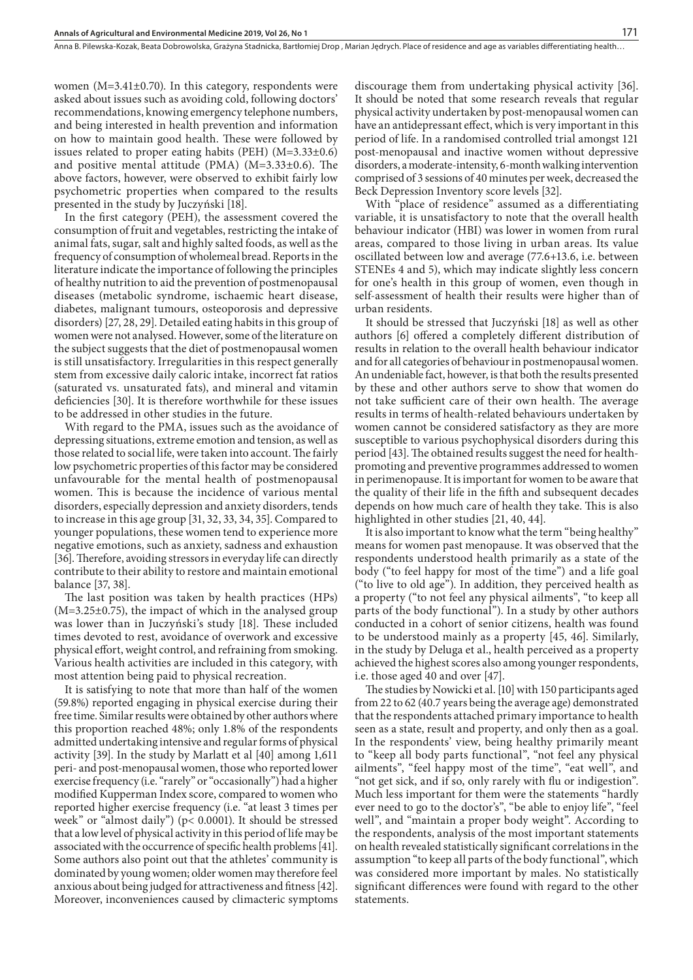women (M=3.41±0.70). In this category, respondents were asked about issues such as avoiding cold, following doctors' recommendations, knowing emergency telephone numbers, and being interested in health prevention and information on how to maintain good health. These were followed by issues related to proper eating habits (PEH) (M=3.33±0.6) and positive mental attitude (PMA) ( $M=3.33\pm0.6$ ). The above factors, however, were observed to exhibit fairly low psychometric properties when compared to the results presented in the study by Juczyński [18].

In the first category (PEH), the assessment covered the consumption of fruit and vegetables, restricting the intake of animal fats, sugar, salt and highly salted foods, as well as the frequency of consumption of wholemeal bread. Reports in the literature indicate the importance of following the principles of healthy nutrition to aid the prevention of postmenopausal diseases (metabolic syndrome, ischaemic heart disease, diabetes, malignant tumours, osteoporosis and depressive disorders) [27, 28, 29]. Detailed eating habits in this group of women were not analysed. However, some of the literature on the subject suggests that the diet of postmenopausal women is still unsatisfactory. Irregularities in this respect generally stem from excessive daily caloric intake, incorrect fat ratios (saturated vs. unsaturated fats), and mineral and vitamin deficiencies [30]. It is therefore worthwhile for these issues to be addressed in other studies in the future.

With regard to the PMA, issues such as the avoidance of depressing situations, extreme emotion and tension, as well as those related to social life, were taken into account. The fairly low psychometric properties of this factor may be considered unfavourable for the mental health of postmenopausal women. This is because the incidence of various mental disorders, especially depression and anxiety disorders, tends to increase in this age group [31, 32, 33, 34, 35]. Compared to younger populations, these women tend to experience more negative emotions, such as anxiety, sadness and exhaustion [36]. Therefore, avoiding stressors in everyday life can directly contribute to their ability to restore and maintain emotional balance [37, 38].

The last position was taken by health practices (HPs)  $(M=3.25\pm0.75)$ , the impact of which in the analysed group was lower than in Juczyński's study [18]. These included times devoted to rest, avoidance of overwork and excessive physical effort, weight control, and refraining from smoking. Various health activities are included in this category, with most attention being paid to physical recreation.

It is satisfying to note that more than half of the women (59.8%) reported engaging in physical exercise during their free time. Similar results were obtained by other authors where this proportion reached 48%; only 1.8% of the respondents admitted undertaking intensive and regular forms of physical activity [39]. In the study by Marlatt et al [40] among 1,611 peri- and post-menopausal women, those who reported lower exercise frequency (i.e. "rarely" or "occasionally") had a higher modified Kupperman Index score, compared to women who reported higher exercise frequency (i.e. "at least 3 times per week" or "almost daily") (p< 0.0001). It should be stressed that a low level of physical activity in this period of life may be associated with the occurrence of specific health problems [41]. Some authors also point out that the athletes' community is dominated by young women; older women may therefore feel anxious about being judged for attractiveness and fitness [42]. Moreover, inconveniences caused by climacteric symptoms

discourage them from undertaking physical activity [36]. It should be noted that some research reveals that regular physical activity undertaken by post-menopausal women can have an antidepressant effect, which is very important in this period of life. In a randomised controlled trial amongst 121 post-menopausal and inactive women without depressive disorders, a moderate-intensity, 6-month walking intervention comprised of 3 sessions of 40 minutes per week, decreased the Beck Depression Inventory score levels [32].

With "place of residence" assumed as a differentiating variable, it is unsatisfactory to note that the overall health behaviour indicator (HBI) was lower in women from rural areas, compared to those living in urban areas. Its value oscillated between low and average (77.6+13.6, i.e. between STENEs 4 and 5), which may indicate slightly less concern for one's health in this group of women, even though in self-assessment of health their results were higher than of urban residents.

It should be stressed that Juczyński [18] as well as other authors [6] offered a completely different distribution of results in relation to the overall health behaviour indicator and for all categories of behaviour in postmenopausal women. An undeniable fact, however, is that both the results presented by these and other authors serve to show that women do not take sufficient care of their own health. The average results in terms of health-related behaviours undertaken by women cannot be considered satisfactory as they are more susceptible to various psychophysical disorders during this period [43]. The obtained results suggest the need for healthpromoting and preventive programmes addressed to women in perimenopause. It is important for women to be aware that the quality of their life in the fifth and subsequent decades depends on how much care of health they take. This is also highlighted in other studies [21, 40, 44].

It is also important to know what the term "being healthy" means for women past menopause. It was observed that the respondents understood health primarily as a state of the body ("to feel happy for most of the time") and a life goal ("to live to old age"). In addition, they perceived health as a property ("to not feel any physical ailments", "to keep all parts of the body functional"). In a study by other authors conducted in a cohort of senior citizens, health was found to be understood mainly as a property [45, 46]. Similarly, in the study by Deluga et al., health perceived as a property achieved the highest scores also among younger respondents, i.e. those aged 40 and over [47].

The studies by Nowicki et al. [10] with 150 participants aged from 22 to 62 (40.7 years being the average age) demonstrated that the respondents attached primary importance to health seen as a state, result and property, and only then as a goal. In the respondents' view, being healthy primarily meant to "keep all body parts functional", "not feel any physical ailments", "feel happy most of the time", "eat well", and "not get sick, and if so, only rarely with flu or indigestion". Much less important for them were the statements "hardly ever need to go to the doctor's", "be able to enjoy life", "feel well", and "maintain a proper body weight". According to the respondents, analysis of the most important statements on health revealed statistically significant correlations in the assumption "to keep all parts of the body functional", which was considered more important by males. No statistically significant differences were found with regard to the other statements.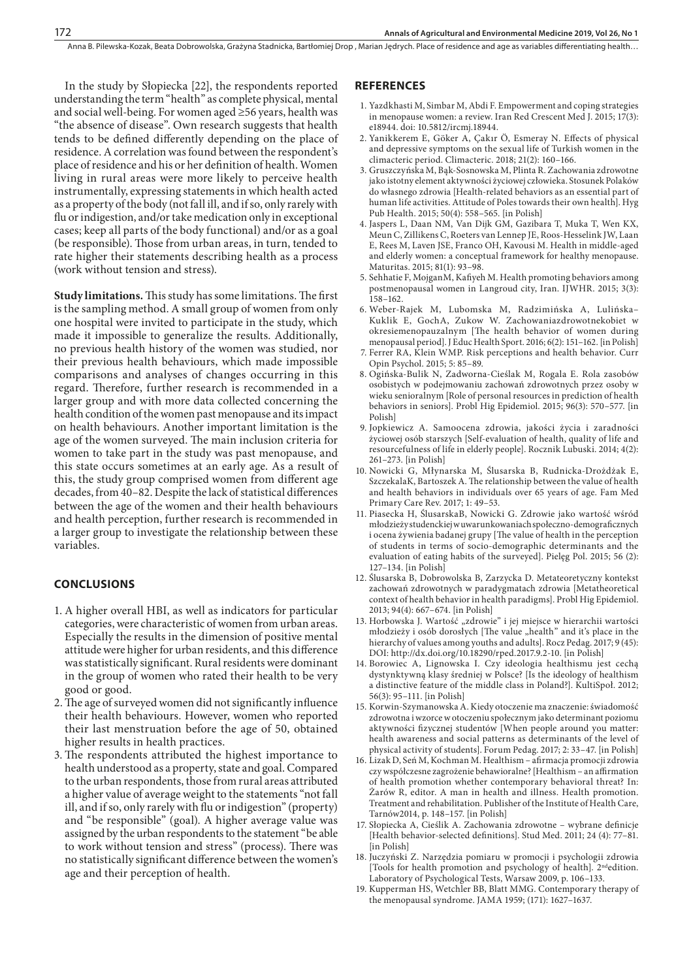In the study by Słopiecka [22], the respondents reported understanding the term "health" as complete physical, mental and social well-being. For women aged ≥56 years, health was "the absence of disease". Own research suggests that health tends to be defined differently depending on the place of residence. A correlation was found between the respondent's place of residence and his or her definition of health. Women living in rural areas were more likely to perceive health instrumentally, expressing statements in which health acted as a property of the body (not fall ill, and if so, only rarely with flu or indigestion, and/or take medication only in exceptional cases; keep all parts of the body functional) and/or as a goal (be responsible). Those from urban areas, in turn, tended to rate higher their statements describing health as a process (work without tension and stress).

**Study limitations.** This study has some limitations. The first is the sampling method. A small group of women from only one hospital were invited to participate in the study, which made it impossible to generalize the results. Additionally, no previous health history of the women was studied, nor their previous health behaviours, which made impossible comparisons and analyses of changes occurring in this regard. Therefore, further research is recommended in a larger group and with more data collected concerning the health condition of the women past menopause and its impact on health behaviours. Another important limitation is the age of the women surveyed. The main inclusion criteria for women to take part in the study was past menopause, and this state occurs sometimes at an early age. As a result of this, the study group comprised women from different age decades, from 40–82. Despite the lack of statistical differences between the age of the women and their health behaviours and health perception, further research is recommended in a larger group to investigate the relationship between these variables.

## **CONCLUSIONS**

172

- 1. A higher overall HBI, as well as indicators for particular categories, were characteristic of women from urban areas. Especially the results in the dimension of positive mental attitude were higher for urban residents, and this difference was statistically significant. Rural residents were dominant in the group of women who rated their health to be very good or good.
- 2.The age of surveyed women did not significantly influence their health behaviours. However, women who reported their last menstruation before the age of 50, obtained higher results in health practices.
- 3. The respondents attributed the highest importance to health understood as a property, state and goal. Compared to the urban respondents, those from rural areas attributed a higher value of average weight to the statements "not fall ill, and if so, only rarely with flu or indigestion" (property) and "be responsible" (goal). A higher average value was assigned by the urban respondents to the statement "be able to work without tension and stress" (process). There was no statistically significant difference between the women's age and their perception of health.

#### **REFERENCES**

- 1. Yazdkhasti M, Simbar M, Abdi F. Empowerment and coping strategies in menopause women: a review. Iran Red Crescent Med J. 2015; 17(3): e18944. doi: 10.5812/ircmj.18944.
- 2. Yanikkerem E, Göker A, Çakır Ö, Esmeray N. Effects of physical and depressive symptoms on the sexual life of Turkish women in the climacteric period. Climacteric. 2018; 21(2): 160–166.
- 3. Gruszczyńska M, Bąk-Sosnowska M, Plinta R. Zachowania zdrowotne jako istotny element aktywności życiowej człowieka. Stosunek Polaków do własnego zdrowia [Health-related behaviors as an essential part of human life activities. Attitude of Poles towards their own health]. Hyg Pub Health. 2015; 50(4): 558–565. [in Polish]
- 4. Jaspers L, Daan NM, Van Dijk GM, Gazibara T, Muka T, Wen KX, Meun C, Zillikens C, Roeters van Lennep JE, Roos-Hesselink JW, Laan E, Rees M, Laven JSE, Franco OH, Kavousi M. Health in middle-aged and elderly women: a conceptual framework for healthy menopause. Maturitas. 2015; 81(1): 93–98.
- 5. Sehhatie F, MojganM, Kafiyeh M. Health promoting behaviors among postmenopausal women in Langroud city, Iran. IJWHR. 2015; 3(3): 158–162.
- 6. Weber-Rajek M, Lubomska M, Radzimińska A, Lulińska– Kuklik E, GochA, Zukow W. Zachowaniazdrowotnekobiet w okresiemenopauzalnym [The health behavior of women during menopausal period]. J Educ Health Sport. 2016; 6(2): 151–162. [in Polish]
- 7. Ferrer RA, Klein WMP. Risk perceptions and health behavior. Curr Opin Psychol. 2015; 5: 85–89.
- 8. Ogińska-Bulik N, Zadworna-Cieślak M, Rogala E. Rola zasobów osobistych w podejmowaniu zachowań zdrowotnych przez osoby w wieku senioralnym [Role of personal resources in prediction of health behaviors in seniors]. Probl Hig Epidemiol. 2015; 96(3): 570–577. [in Polish]
- 9. Jopkiewicz A. Samoocena zdrowia, jakości życia i zaradności życiowej osób starszych [Self-evaluation of health, quality of life and resourcefulness of life in elderly people]. Rocznik Lubuski. 2014; 4(2): 261–273. [in Polish]
- 10. Nowicki G, Młynarska M, Ślusarska B, Rudnicka-Drożdżak E, SzczekalaK, Bartoszek A. The relationship between the value of health and health behaviors in individuals over 65 years of age. Fam Med Primary Care Rev. 2017; 1: 49–53.
- 11. Piasecka H, ŚlusarskaB, Nowicki G. Zdrowie jako wartość wśród młodzieży studenckiej w uwarunkowaniach społeczno-demograficznych i ocena żywienia badanej grupy [The value of health in the perception of students in terms of socio-demographic determinants and the evaluation of eating habits of the surveyed]. Pielęg Pol. 2015; 56 (2): 127–134. [in Polish]
- 12. Ślusarska B, Dobrowolska B, Zarzycka D. Metateoretyczny kontekst zachowań zdrowotnych w paradygmatach zdrowia [Metatheoretical context of health behavior in health paradigms]. Probl Hig Epidemiol. 2013; 94(4): 667–674. [in Polish]
- 13. Horbowska J. Wartość "zdrowie" i jej miejsce w hierarchii wartości młodzieży i osób dorosłych [The value "health" and it's place in the hierarchy of values among youths and adults]. Rocz Pedag. 2017; 9 (45): DOI:<http://dx.doi.org/10.18290/rped.2017.9.2-10>. [in Polish]
- 14. Borowiec A, Lignowska I. Czy ideologia healthismu jest cechą dystynktywną klasy średniej w Polsce? [Is the ideology of healthism a distinctive feature of the middle class in Poland?]. KultiSpoł. 2012; 56(3): 95–111. [in Polish]
- 15. Korwin-Szymanowska A. Kiedy otoczenie ma znaczenie: świadomość zdrowotna i wzorce w otoczeniu społecznym jako determinant poziomu aktywności fizycznej studentów [When people around you matter: health awareness and social patterns as determinants of the level of physical activity of students]. Forum Pedag. 2017; 2: 33–47. [in Polish]
- 16. Lizak D, Seń M, Kochman M. Healthism afirmacja promocji zdrowia czy współczesne zagrożenie behawioralne? [Healthism – an affirmation of health promotion whether contemporary behavioral threat? In: Żarów R, editor. A man in health and illness. Health promotion. Treatment and rehabilitation. Publisher of the Institute of Health Care, Tarnów2014, p. 148–157. [in Polish]
- 17. Słopiecka A, Cieślik A. Zachowania zdrowotne wybrane definicje [Health behavior-selected definitions]. Stud Med. 2011; 24 (4): 77–81. [in Polish]
- 18. Juczyński Z. Narzędzia pomiaru w promocji i psychologii zdrowia [Tools for health promotion and psychology of health]. 2ndedition. Laboratory of Psychological Tests, Warsaw 2009, p. 106–133.
- 19. Kupperman HS, Wetchler BB, Blatt MMG. Contemporary therapy of the menopausal syndrome. JAMA 1959; (171): 1627–1637.